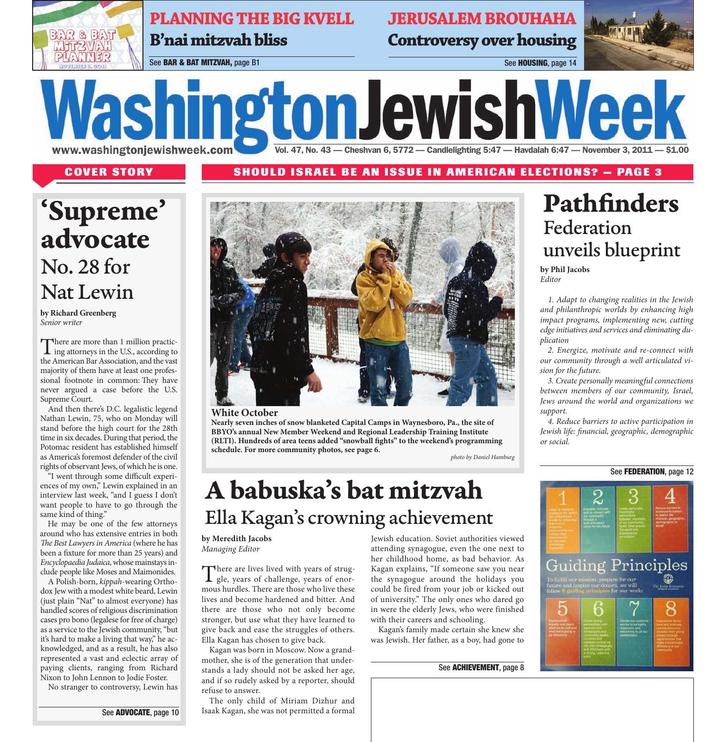**PLANNING THE BIG KVELL B'nai mitzvah bliss** 

**JERUSALEM BROUHAHA Controversy over housing** 

Vol. 47, No. 43 - Cheshvan 6, 5772 - Candlelighting 5:47 - Havdalah 6:47 - November 3, 2011 - \$1.00



See BAR & BAT MITZVAH, page B1 See HOUSING, page 14

www.washingtonjewishweek.com

**COVER STORY SHOULD ISRAEL BE AN ISSUE IN AMERICAN ELECTIONS? — PAGE 3**

# **'Supreme' advocate** No. 28 for Nat Lewin

**by Richard Greenberg** Senior writer

There are more than 1 million practicing attorneys in the U.S., according to the American Bar Association, and the vast majority of them have at least one professional footnote in common: They have never argued a case before the U.S. Supreme Court.

And then there's D.C. legalistic legend Nathan Lewin, 75, who on Monday will stand before the high court for the 28th time in six decades. During that period, the Potomac resident has established himself as America's foremost defender of the civil rights of observant Jews, of which he is one.

"I went through some difficult experiences of my own," Lewin explained in an interview last week, "and I guess I don't want people to have to go through the same kind of thing."

He may be one of the few attorneys around who has extensive entries in both The Best Lawyers in America (where he has been a fixture for more than 25 years) and Encyclopaedia Judaica, whose mainstays include people like Moses and Maimonides.

A Polish-born, kippah-wearing Orthodox Jew with a modest white beard, Lewin (just plain "Nat" to almost everyone) has handled scores ofreligious discrimination cases pro bono (legalese for free of charge) as a service to the Jewish community,"but it's hard to make a living that way," he acknowledged, and as a result, he has also represented a vast and eclectic array of paying clients, ranging from Richard Nixon to John Lennon to Jodie Foster.

No stranger to controversy, Lewin has

See ADVOCATE, page 10



**WashingtonJewishWeek** 

#### **White October**

**Nearly seven inches of snow blanketed Capital Camps in Waynesboro, Pa., the site of BBYO's annual New Member Weekend and Regional Leadership Training Institute (RLTI). Hundreds of area teens added "snowball fights" to the weekend's programming schedule. For more community photos, see page 6.**

*photo by Daniel Hamburg*

# **A babuska's bat mitzvah** Ella Kagan ' s crowning achievement

**by Meredith Jacobs** *Managing Editor*

There are lives lived with years of strug-<br>gle, years of challenge, years of enormous hurdles. There are those who live these lives and become hardened and bitter. And there are those who not only become stronger, but use what they have learned to give back and ease the struggles of others. Ella Kagan has chosen to give back.

Kagan was born in Moscow. Now a grandmother, she is of the generation that understands a lady should not be asked her age, and if so rudely asked by a reporter, should refuse to answer.

The only child of Miriam Dizhur and Isaak Kagan, she was not permitted a formal

Jewish education. Soviet authorities viewed attending synagogue, even the one next to her childhood home, as bad behavior. As Kagan explains, "If someone saw you near the synagogue around the holidays you could be fired from your job or kicked out of university." The only ones who dared go in were the elderly Jews, who were finished with their careers and schooling.

Kagan's family made certain she knew she was Jewish. Her father, as a boy, had gone to

#### See ACHIEVEMENT, page 8

## **Pathfinders** Federation unveils blueprint

**by Phil Jacobs** *Editor*

1. Adapt to changing realities in the Jewish and philanthropic worlds by enhancing high impact programs, implementing new, cutting edge initiatives and services and eliminating duplication

2. Energize, motivate and re-connect with our community through a well articulated vision for the future.

3. Create personally meaningful connections between members of our community, Israel, Jews around the world and organizations we support.

4. Reduce barriers to active participation in Jewish life: financial, geographic, demographic or social.

### See **FEDERATION**, page 12

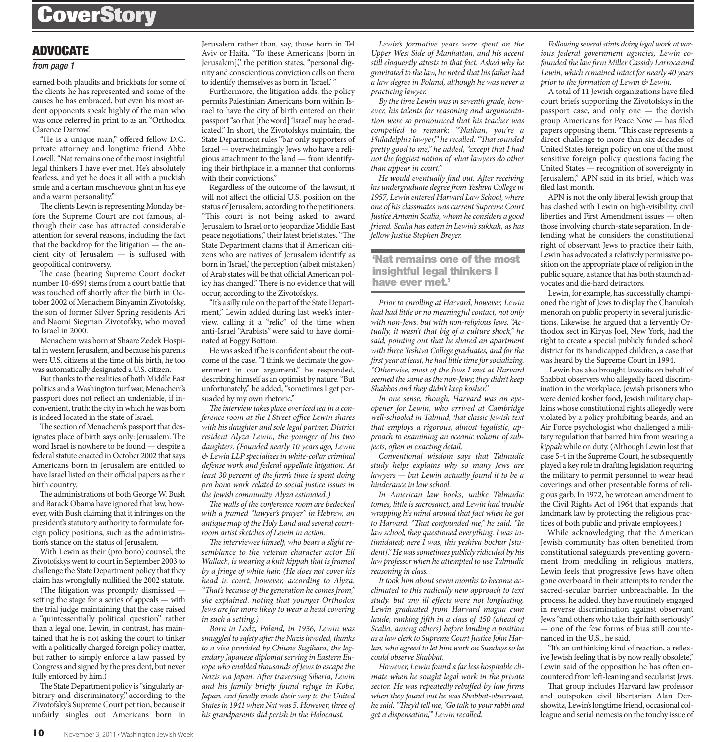### **CoverStory**

### ADVOCATE

#### *from page 1*

earned both plaudits and brickbats for some of the clients he has represented and some of the causes he has embraced, but even his most ardent opponents speak highly of the man who was once referred in print to as an "Orthodox Clarence Darrow."

"He is a unique man," offered fellow D.C. private attorney and longtime friend Abbe Lowell. "Nat remains one of the most insightful legal thinkers I have ever met. He's absolutely fearless, and yet he does it all with a puckish smile and a certain mischievous glint in his eye and a warm personality."

The clients Lewin is representing Monday before the Supreme Court are not famous, although their case has attracted considerable attention for several reasons, including the fact that the backdrop for the litigation — the ancient city of Jerusalem — is suffused with geopolitical controversy.

The case (bearing Supreme Court docket number 10-699) stems from a court battle that was touched off shortly after the birth in October 2002 of Menachem Binyamin Zivotofsky, the son of former Silver Spring residents Ari and Naomi Siegman Zivotofsky, who moved to Israel in 2000.

Menachem was born at Shaare Zedek Hospital inwestern Jerusalem, and because his parents were U.S. citizens at the time of his birth, he too was automatically designated a U.S. citizen.

But thanks to the realities of both Middle East politics and a Washington turf war, Menachem's passport does not reflect an undeniable, if inconvenient, truth: the city inwhich hewas born is indeed located in the state of Israel.

The section of Menachem's passport that designates place of birth says only: Jerusalem. The word Israel is nowhere to be found — despite a federal statute enacted in October 2002 that says Americans born in Jerusalem are entitled to have Israel listed on their official papers astheir birth country.

The administrations of both George W. Bush and Barack Obama have ignored that law, however, with Bush claiming that it infringes on the president's statutory authority to formulate foreign policy positions, such as the administration's stance on the status of Jerusalem.

With Lewin as their (pro bono) counsel, the Zivotofskys went to court in September 2003 to challenge the State Department policy that they claim has wrongfully nullified the 2002 statute.

(The litigation was promptly dismissed  $$ setting the stage for a series of appeals — with the trial judge maintaining that the case raised a "quintessentially political question" rather than a legal one. Lewin, in contrast, has maintained that he is not asking the court to tinker with a politically charged foreign policy matter, but rather to simply enforce a law passed by Congress and signed by the president, but never fully enforced by him.)

The State Department policy is "singularly arbitrary and discriminatory," according to the Zivotofsky's Supreme Court petition, because it unfairly singles out Americans born in Jerusalem rather than, say, those born in Tel Aviv or Haifa. "To these Americans [born in Jerusalem]," the petition states, "personal dignity and conscientious conviction calls on them to identify themselves as born in 'Israel.' "

Furthermore, the litigation adds, the policy permits Palestinian Americans born within Israel to have the city of birth entered on their passport "so that [the word] 'Israel' may be eradicated." In short, the Zivotofskys maintain, the State Department rules "bar only supporters of Israel — overwhelmingly Jews who have a religious attachment to the land — from identifying their birthplace in a manner that conforms with their convictions."

Regardless of the outcome of the lawsuit, it will not affect the official U.S. position on the status of Jerusalem, according to the petitioners. "This court is not being asked to award Jerusalem to Israel or to jeopardize Middle East peace negotiations," their latest brief states. "The State Department claims that if American citizens who are natives of Jerusalem identify as born in 'Israel,' the perception (albeit mistaken) of Arab states will be that official American policy has changed." There is no evidence that will occur, according to the Zivotofskys.

"It's a silly rule on the part of the State Department," Lewin added during last week's interview, calling it a "relic" of the time when anti-Israel "Arabists" were said to have dominated at Foggy Bottom.

Hewas asked if he is confident about the outcome of the case."I think we decimate the government in our argument," he responded, describing himself as an optimist by nature."But unfortunately," he added,"sometimes I get persuaded by my own rhetoric."

The interview takes place over iced tea in a conference room at the I Street office Lewin shares with his daughter and sole legal partner, District resident Alyza Lewin, the younger of his two daughters. (Founded nearly 10 years ago, Lewin  $&$  Lewin LLP specializes in white-collar criminal defense work and federal appellate litigation. At least 30 percent of the firm's time is spent doing pro bono work related to social justice issues in the Jewish community, Alyza estimated.)

The walls of the conference room are bedecked with a framed "lawyer's prayer" in Hebrew, an antique map of the Holy Land and several courtroom artist sketches of Lewin in action.

The interviewee himself, who bears a slight resemblance to the veteran character actor Eli Wallach, is wearing a knit kippah that is framed by a fringe of white hair. (He does not cover his head in court, however, according to Alyza. "That's because of the generation he comes from," she explained, noting that younger Orthodox Jews are far more likely to wear a head covering in such a setting.)

Born in Lodz, Poland, in 1936, Lewin was smuggled to safety after the Nazis invaded, thanks to a visa provided by Chiune Sugihara, the legendary Japanese diplomat serving in Eastern Europe who enabled thousands of Jews to escape the Nazis via Japan. After traversing Siberia, Lewin and his family briefly found refuge in Kobe, Japan, and finally made their way to the United States in 1941 when Nat was 5. However, three of his grandparents did perish in the Holocaust.

Lewin's formative years were spent on the Upper West Side of Manhattan, and his accent still eloquently attests to that fact. Asked why he gravitated to the law, he noted that hisfather had a law degree in Poland, although he was never a practicing lawyer.

By the time Lewin was in seventh grade, however, his talents for reasoning and argumentation were so pronounced that his teacher was compelled to remark: "'Nathan, you're a Philadelphia lawyer,"" he recalled. "That sounded pretty good to me," he added, "except that I had not the foggiest notion of what lawyers do other than appear in court."

He would eventually find out. After receiving his undergraduate degree from Yeshiva College in 1957, Lewin entered Harvard Law School, where one of his classmates was current Supreme Court Justice Antonin Scalia, whom he considers a good friend. Scalia has eaten in Lewin's sukkah, as has fellow Justice Stephen Breyer.

**'Nat remains one of the most insightful legal thinkers I have ever met.'**

Prior to enrolling at Harvard, however, Lewin had had little or no meaningful contact, not only with non-Jews, but with non-religious Jews. "Actually, it wasn't that big of a culture shock," he said, pointing out that he shared an apartment with three Yeshiva College graduates, and for the first year at least, he had little time for socializing. "Otherwise, most of the Jews I met at Harvard seemed the same as the non-Jews; they didn't keep Shabbos and they didn't keep kosher."

In one sense, though, Harvard was an eyeopener for Lewin, who arrived at Cambridge well-schooled in Talmud, that classic Jewish text that employs a rigorous, almost legalistic, approach to examining an oceanic volume of subjects, often in exacting detail.

Conventional wisdom says that Talmudic study helps explains why so many Jews are lawyers — but Lewin actually found it to be a hinderance in law school.

In American law books, unlike Talmudic tomes, little is sacrosanct, and Lewin had trouble wrapping his mind around that fact when he got to Harvard. "That confounded me," he said. "In law school, they questioned everything. I was intimidated; here I was, this yeshiva bochur [student]." He was sometimes publicly ridiculed by his law professor when he attempted to use Talmudic reasoning in class.

It took him about seven months to become acclimated to this radically new approach to text study, but any ill effects were not longlasting. Lewin graduated from Harvard magna cum laude, ranking fifth in a class of 450 (ahead of Scalia, among others) before landing a position as a law clerk to Supreme Court Justice John Harlan, who agreed to let him work on Sundays so he could observe Shabbat.

However, Lewin found a farless hospitable climate when he sought legal work in the private sector. He was repeatedly rebuffed by law firms when they found out he was Shabbat-observant, he said. "They'd tell me, 'Go talk to your rabbi and get a dispensation,'" Lewin recalled.

Following several stints doing legal work at various federal government agencies, Lewin cofounded the law firm Miller Cassidy Larroca and Lewin, which remained intact for nearly 40 years prior to the formation of Lewin & Lewin.

A total of 11 Jewish organizations have filed court briefs supporting the Zivotofskys in the passport case, and only one — the dovish group Americans for Peace Now — has filed papers opposing them. "This case represents a direct challenge to more than six decades of United States foreign policy on one of the most sensitive foreign policy questions facing the United States — recognition of sovereignty in Jerusalem," APN said in its brief, which was filed last month.

APN is not the only liberal Jewish group that has clashed with Lewin on high-visibility, civil liberties and First Amendment issues - often those involving church-state separation. In defending what he considers the constitutional right of observant Jews to practice their faith, Lewin has advocated a relatively permissive position on the appropriate place of religion in the public square, a stance that has both staunch advocates and die-hard detractors.

Lewin, for example, has successfully championed the right of Jews to display the Chanukah menorah on public property in several jurisdictions. Likewise, he argued that a fervently Orthodox sect in Kiryas Joel, New York, had the right to create a special publicly funded school district for its handicapped children, a case that was heard by the Supreme Court in 1994.

Lewin has also brought lawsuits on behalf of Shabbat observers who allegedly faced discrimination in the workplace, Jewish prisoners who were denied kosher food, Jewish military chaplains whose constitutional rights allegedly were violated by a policy prohibiting beards, and an Air Force psychologist who challenged a military regulation that barred him from wearing a kippahwhile on duty.(Although Lewin lost that case 5-4 in the Supreme Court, he subsequently played a key role in drafting legislation requiring the military to permit personnel to wear head coverings and other presentable forms of religious garb. In 1972, he wrote an amendment to the Civil Rights Act of 1964 that expands that landmark law by protecting the religious practices of both public and private employees.)

While acknowledging that the American Jewish community has often benefited from constitutional safeguards preventing government from meddling in religious matters, Lewin feels that progressive Jews have often gone overboard in their attempts to render the sacred-secular barrier unbreachable. In the process, he added, they have routinely engaged in reverse discrimination against observant Jews "and others who take their faith seriously" — one of the few forms of bias still countenanced in the U.S., he said.

"It's an unthinking kind of reaction, a reflexive Jewish feeling that is by now really obsolete," Lewin said of the opposition he has often encountered from left-leaning and secularist Jews.

That group includes Harvard law professor and outspoken civil libertarian Alan Dershowitz, Lewin's longtime friend, occasional colleague and serial nemesis on the touchy issue of